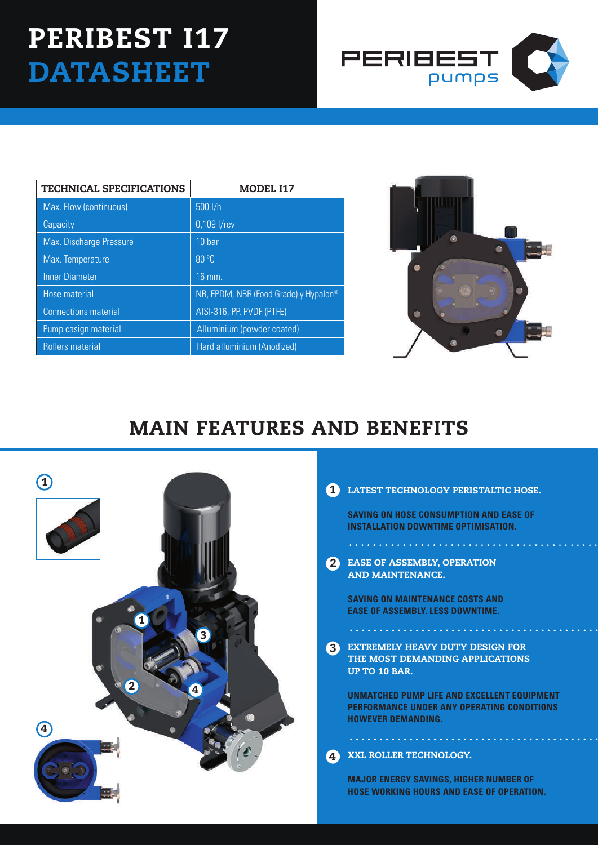## PERIBEST 117 **DATASHEET**



| <b>TECHNICAL SPECIFICATIONS</b> | <b>MODEL I17</b>                      |
|---------------------------------|---------------------------------------|
| Max. Flow (continuous)          | 500 l/h                               |
| Capacity                        | 0,109 l/rev                           |
| <b>Max. Discharge Pressure</b>  | 10 <sub>bar</sub>                     |
| Max. Temperature                | 80 °C                                 |
| <b>Inner Diameter</b>           | $16$ mm.                              |
| Hose material                   | NR, EPDM, NBR (Food Grade) y Hypalon® |
| <b>Connections material</b>     | AISI-316, PP, PVDF (PTFE)             |
| Pump casign material            | Alluminium (powder coated)            |
| <b>Rollers material</b>         | Hard alluminium (Anodized)            |



## MAIN FEATURES AND BENEFITS



## 1 LATEST TECHNOLOGY PERISTALTIC HOSE.

**SAVING ON HOSE CONSUMPTION AND EASE OF INSTALLATION DOWNTIME OPTIMISATION.**

2 EASE OF ASSEMBLY, OPE AND MAINTENANCE.

**SAVING ON MAINTENANCE COSTS AND EASE OF ASSEMBLY. LESS DOWNTIME.**

**3** EXTREMELY HEAVY DUTY DESIGN F THE MOST DEMANDING APPLICATIONS UP TO 10 BAR.

. . . . . . . . . . . . . . . . . . .

**UNMATCHED PUMP LIFE AND EXCELLENT EQUIPMENT PERFORMANCE UNDER ANY OPERATING CONDITIONS HOWEVER DEMANDING.**

. . . . . . . . . . . . . . . . . . XXL ROLLER TECHNOLOGY. 4

> **MAJOR ENERGY SAVINGS, HIGHER NUMBER OF HOSE WORKING HOURS AND EASE OF OPERATION.**